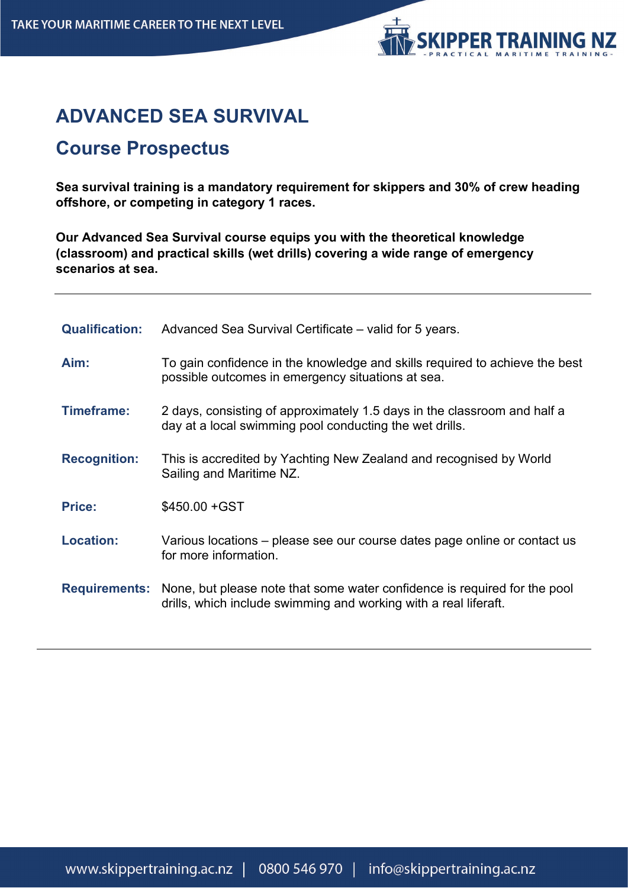

## **ADVANCED SEA SURVIVAL**

## **Course Prospectus**

**Sea survival training is a mandatory requirement for skippers and 30% of crew heading offshore, or competing in category 1 races.**

**Our Advanced Sea Survival course equips you with the theoretical knowledge (classroom) and practical skills (wet drills) covering a wide range of emergency scenarios at sea.**

| <b>Qualification:</b> | Advanced Sea Survival Certificate – valid for 5 years.                                                                                                             |
|-----------------------|--------------------------------------------------------------------------------------------------------------------------------------------------------------------|
| Aim:                  | To gain confidence in the knowledge and skills required to achieve the best<br>possible outcomes in emergency situations at sea.                                   |
| <b>Timeframe:</b>     | 2 days, consisting of approximately 1.5 days in the classroom and half a<br>day at a local swimming pool conducting the wet drills.                                |
| <b>Recognition:</b>   | This is accredited by Yachting New Zealand and recognised by World<br>Sailing and Maritime NZ.                                                                     |
| <b>Price:</b>         | \$450.00 + GST                                                                                                                                                     |
| <b>Location:</b>      | Various locations – please see our course dates page online or contact us<br>for more information.                                                                 |
|                       | <b>Requirements:</b> None, but please note that some water confidence is required for the pool<br>drills, which include swimming and working with a real liferaft. |